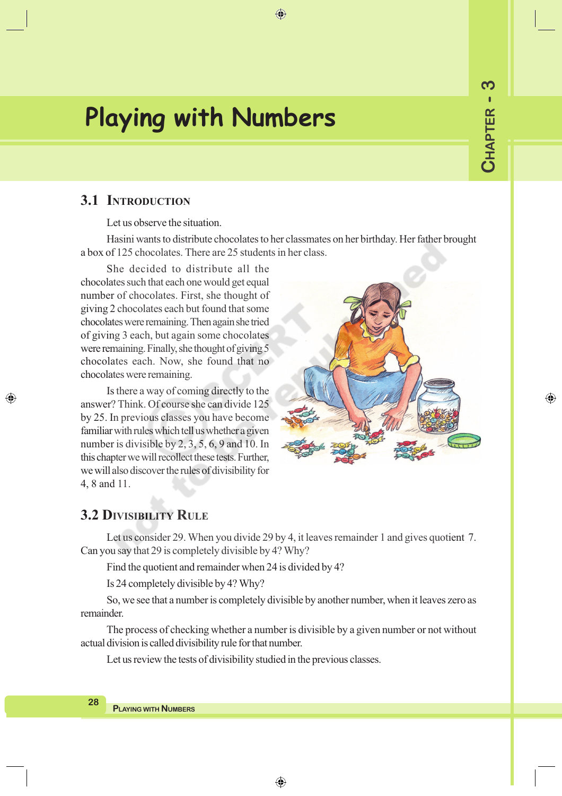⊕

# **Playing with Numbers**

## **3.1 INTRODUCTION**

Let us observe the situation.

Hasini wants to distribute chocolates to her classmates on her birthday. Her father brought a box of 125 chocolates. There are 25 students in her class.

 $\bigoplus$ 

She decided to distribute all the chocolates such that each one would get equal number of chocolates. First, she thought of giving 2 chocolates each but found that some chocolates were remaining. Then again she tried of giving 3 each, but again some chocolates were remaining. Finally, she thought of giving 5 chocolates each. Now, she found that no chocolates were remaining.

Is there a way of coming directly to the answer? Think. Of course she can divide 125 by 25. In previous classes you have become familiar with rules which tell us whether a given number is divisible by 2, 3, 5, 6, 9 and 10. In this chapter we will recollect these tests. Further, we will also discover the rules of divisibility for 4, 8 and 11.



### **3.2 DIVISIBILITY RULE**

◈

Let us consider 29. When you divide 29 by 4, it leaves remainder 1 and gives quotient 7. Can you say that 29 is completely divisible by 4? Why?

Find the quotient and remainder when 24 is divided by 4?

Is 24 completely divisible by 4? Why?

So, we see that a number is completely divisible by another number, when it leaves zero as remainder.

The process of checking whether a number is divisible by a given number or not without actual division is called divisibility rule for that number.

Let us review the tests of divisibility studied in the previous classes.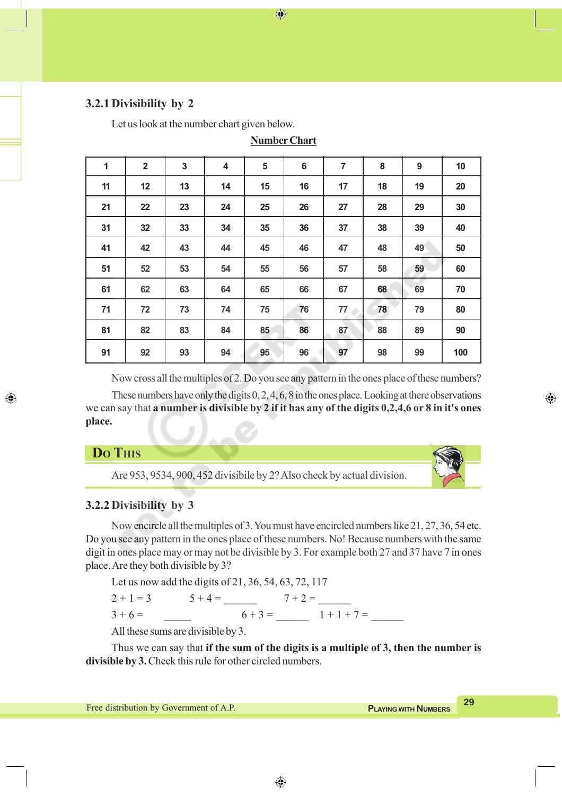### **3.2.1 Divisibility by 2**

Let us look at the number chart given below.

| $\mathbf{1}$ | $\overline{2}$ | 3  | 4  | 5  | $\bf 6$ | $\overline{7}$ | 8  | 9  | 10  |
|--------------|----------------|----|----|----|---------|----------------|----|----|-----|
| 11           | 12             | 13 | 14 | 15 | 16      | 17             | 18 | 19 | 20  |
| 21           | 22             | 23 | 24 | 25 | 26      | 27             | 28 | 29 | 30  |
| 31           | 32             | 33 | 34 | 35 | 36      | 37             | 38 | 39 | 40  |
| 41           | 42             | 43 | 44 | 45 | 46      | 47             | 48 | 49 | 50  |
| 51           | 52             | 53 | 54 | 55 | 56      | 57             | 58 | 59 | 60  |
| 61           | 62             | 63 | 64 | 65 | 66      | 67             | 68 | 69 | 70  |
| 71           | 72             | 73 | 74 | 75 | 76      | 77             | 78 | 79 | 80  |
| 81           | 82             | 83 | 84 | 85 | 86      | 87             | 88 | 89 | 90  |
| 91           | 92             | 93 | 94 | 95 | 96      | 97             | 98 | 99 | 100 |

**Number Chart**

 $\bigoplus$ 

Now cross all the multiples of 2. Do you see any pattern in the ones place of these numbers? These numbers have only the digits 0, 2, 4, 6, 8 in the ones place. Looking at there observations we can say that **a number is divisible by 2 if it has any of the digits 0,2,4,6 or 8 in it's ones place.**

### **DO THIS**

◈

Are 953, 9534, 900, 452 divisibile by 2? Also check by actual division.



⊕

### **3.2.2 Divisibility by 3**

Now encircle all the multiples of 3. You must have encircled numbers like 21, 27, 36, 54 etc. Do you see any pattern in the ones place of these numbers. No! Because numbers with the same digit in ones place may or may not be divisible by 3. For example both 27 and 37 have 7 in ones place. Are they both divisible by 3?

Let us now add the digits of 21, 36, 54, 63, 72, 117  $2 + 1 = 3$   $5 + 4 =$   $7 + 2 =$  $3 + 6 = 6 + 3 = 1 + 1 + 7 =$ 

All these sums are divisible by 3.

Thus we can say that **if the sum of the digits is a multiple of 3, then the number is divisible by 3.** Check this rule for other circled numbers.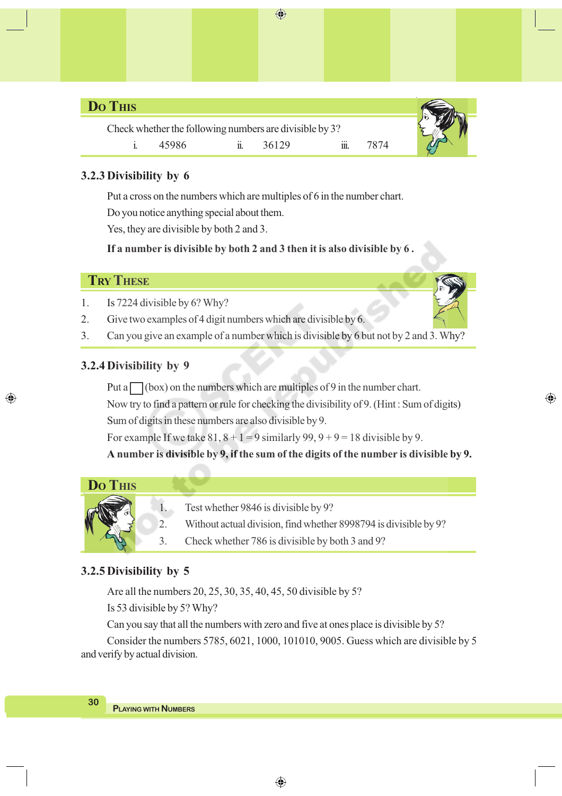# **DO THIS**

Check whether the following numbers are divisible by 3? i. 45986 ii. 36129 iii. 7874



⊕

## **3.2.3 Divisibility by 6**

Put a cross on the numbers which are multiples of 6 in the number chart.

 $\bigoplus$ 

Do you notice anything special about them.

Yes, they are divisible by both 2 and 3.

**If a number is divisible by both 2 and 3 then it is also divisible by 6 .**



◈

- 1. Is 7224 divisible by 6? Why?
- 2. Give two examples of 4 digit numbers which are divisible by 6.
- 3. Can you give an example of a number which is divisible by 6 but not by 2 and 3. Why?

# **3.2.4 Divisibility by 9**

Put a  $\Box$  (box) on the numbers which are multiples of 9 in the number chart.

Now try to find a pattern or rule for checking the divisibility of 9. (Hint : Sum of digits) Sum of digits in these numbers are also divisible by 9.

For example If we take  $81, 8 + 1 = 9$  similarly  $99, 9 + 9 = 18$  divisible by 9.

**A number is divisible by 9, if the sum of the digits of the number is divisible by 9.**



- 1. Test whether 9846 is divisible by 9?
- 2. Without actual division, find whether 8998794 is divisible by 9?
- 3. Check whether 786 is divisible by both 3 and 9?

# **3.2.5 Divisibility by 5**

Are all the numbers 20, 25, 30, 35, 40, 45, 50 divisible by 5? Is 53 divisible by 5? Why?

Can you say that all the numbers with zero and five at ones place is divisible by 5?

Consider the numbers 5785, 6021, 1000, 101010, 9005. Guess which are divisible by 5 and verify by actual division.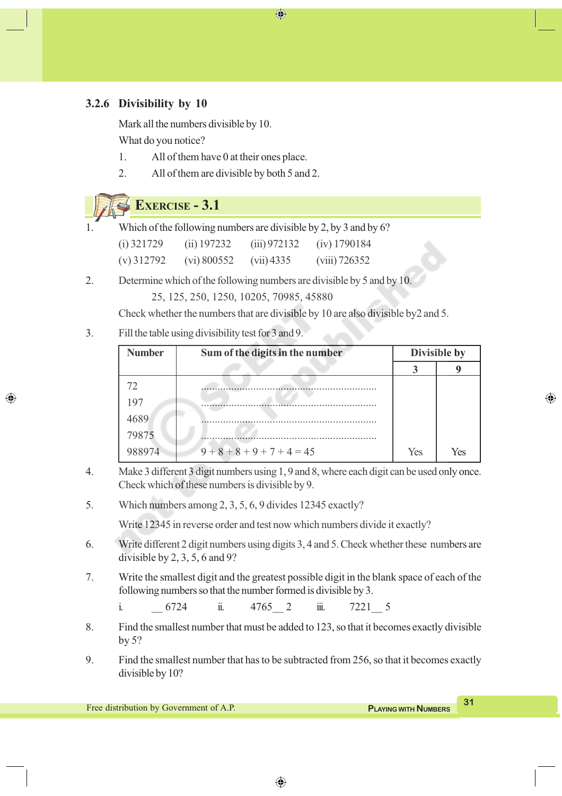### **3.2.6 Divisibility by 10**

Mark all the numbers divisible by 10. What do you notice?

- 1. All of them have 0 at their ones place.
- 2. All of them are divisible by both 5 and 2.

# **EXERCISE - 3.1**

◈

Which of the following numbers are divisible by 2, by 3 and by 6? (i) 321729 (ii) 197232 (iii) 972132 (iv) 1790184

(v) 312792 (vi) 800552 (vii) 4335 (viii) 726352

2. Determine which of the following numbers are divisible by 5 and by 10.

25, 125, 250, 1250, 10205, 70985, 45880

Check whether the numbers that are divisible by 10 are also divisible by2 and 5.

⊕

3. Fill the table using divisibility test for 3 and 9.

| <b>Number</b> | Sum of the digits in the number |     | Divisible by |  |  |
|---------------|---------------------------------|-----|--------------|--|--|
|               |                                 |     |              |  |  |
| 72.           |                                 |     |              |  |  |
| 197           |                                 |     |              |  |  |
| 4689          |                                 |     |              |  |  |
| 79875         |                                 |     |              |  |  |
| 988974        | $9+8+8+9+7+4=45$                | Yes | Yes          |  |  |

- 4. Make 3 different 3 digit numbers using 1, 9 and 8, where each digit can be used only once. Check which of these numbers is divisible by 9.
- 5. Which numbers among 2, 3, 5, 6, 9 divides 12345 exactly?

Write 12345 in reverse order and test now which numbers divide it exactly?

- 6. Write different 2 digit numbers using digits 3, 4 and 5. Check whether these numbers are divisible by 2, 3, 5, 6 and 9?
- 7. Write the smallest digit and the greatest possible digit in the blank space of each of the following numbers so that the number formed is divisible by 3.

i. <u>6724</u> ii. 4765 2 iii. 7221 5

- 8. Find the smallest number that must be added to 123, so that it becomes exactly divisible by 5?
- 9. Find the smallest number that has to be subtracted from 256, so that it becomes exactly divisible by 10?

⊕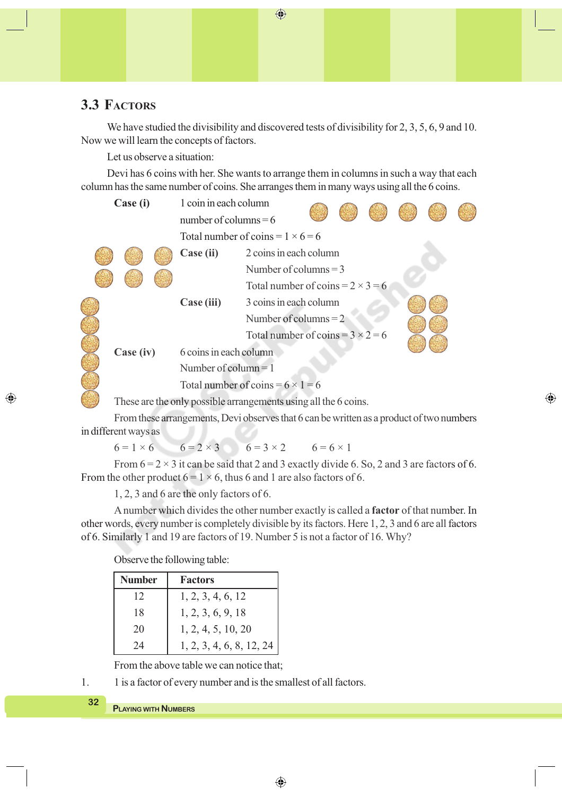# **3.3 FACTORS**

We have studied the divisibility and discovered tests of divisibility for 2, 3, 5, 6, 9 and 10. Now we will learn the concepts of factors.

 $\bigoplus$ 

Let us observe a situation:

Devi has 6 coins with her. She wants to arrange them in columns in such a way that each column has the same number of coins. She arranges them in many ways using all the 6 coins.

| Case (i)  |                         | 1 coin in each column                    |                                          |  |  |  |  |  |  |
|-----------|-------------------------|------------------------------------------|------------------------------------------|--|--|--|--|--|--|
|           |                         | number of columns $= 6$                  |                                          |  |  |  |  |  |  |
|           |                         | Total number of coins = $1 \times 6 = 6$ |                                          |  |  |  |  |  |  |
|           |                         | Case (ii)                                | 2 coins in each column                   |  |  |  |  |  |  |
|           | Number of columns $=$ 3 |                                          |                                          |  |  |  |  |  |  |
|           |                         |                                          | Total number of coins = $2 \times 3 = 6$ |  |  |  |  |  |  |
|           |                         | Case (iii)                               | 3 coins in each column                   |  |  |  |  |  |  |
|           |                         |                                          | Number of columns $= 2$                  |  |  |  |  |  |  |
|           |                         |                                          | Total number of coins = $3 \times 2 = 6$ |  |  |  |  |  |  |
| Case (iv) |                         | 6 coins in each column                   |                                          |  |  |  |  |  |  |
|           |                         | Number of column $=$ 1                   |                                          |  |  |  |  |  |  |
|           |                         | Total number of coins = $6 \times 1 = 6$ |                                          |  |  |  |  |  |  |
|           |                         |                                          |                                          |  |  |  |  |  |  |

These are the only possible arrangements using all the 6 coins.

From these arrangements, Devi observes that 6 can be written as a product of two numbers in different ways as

⊕

 $6 = 1 \times 6$   $6 = 2 \times 3$   $6 = 3 \times 2$   $6 = 6 \times 1$ 

From  $6 = 2 \times 3$  it can be said that 2 and 3 exactly divide 6. So, 2 and 3 are factors of 6. From the other product  $6 = 1 \times 6$ , thus 6 and 1 are also factors of 6.

1, 2, 3 and 6 are the only factors of 6.

A number which divides the other number exactly is called a **factor** of that number. In other words, every number is completely divisible by its factors. Here 1, 2, 3 and 6 are all factors of 6. Similarly 1 and 19 are factors of 19. Number 5 is not a factor of 16. Why?

Observe the following table:

| <b>Number</b> | <b>Factors</b>           |
|---------------|--------------------------|
| 12            | 1, 2, 3, 4, 6, 12        |
| 18            | 1, 2, 3, 6, 9, 18        |
| 20            | 1, 2, 4, 5, 10, 20       |
| 24            | 1, 2, 3, 4, 6, 8, 12, 24 |

From the above table we can notice that;

1. 1 is a factor of every number and is the smallest of all factors.

```
PLAYING WITH NUMBERS
```
**32**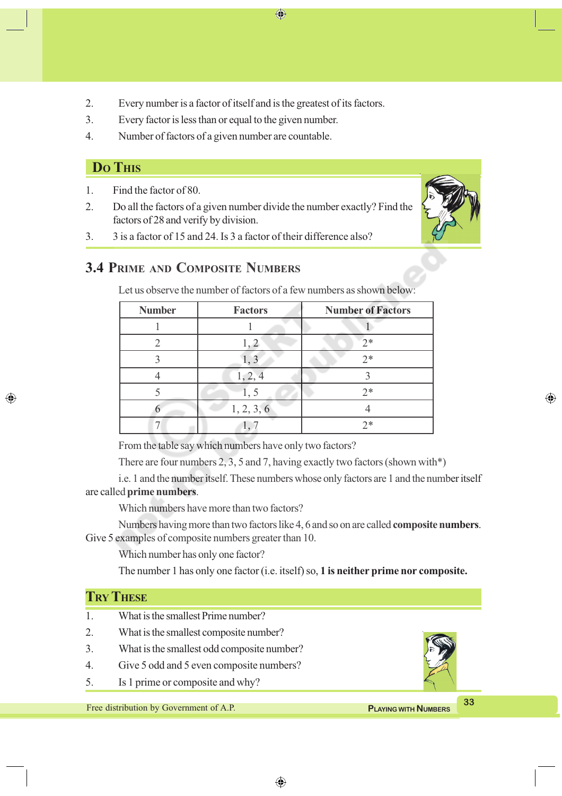2. Every number is a factor of itself and is the greatest of its factors.

⊕

- 3. Every factor is less than or equal to the given number.
- 4. Number of factors of a given number are countable.

# **DO THIS**

◈

1. Find the factor of 80.

2. Do all the factors of a given number divide the number exactly? Find the factors of 28 and verify by division.



⊕

3. 3 is a factor of 15 and 24. Is 3 a factor of their difference also?

# **3.4 PRIME AND COMPOSITE NUMBERS**

| <b>Number</b> | <b>Factors</b>               | <b>Number of Factors</b> |
|---------------|------------------------------|--------------------------|
|               |                              |                          |
|               |                              | $7*$                     |
|               |                              | $2*$                     |
|               | 1, 2, 4                      |                          |
|               | $\mathbf{1}_{\mathcal{A}}$ . | $7*$                     |
|               | 1, 2, 3, 6                   |                          |
|               |                              | つ*                       |

Let us observe the number of factors of a few numbers as shown below:

From the table say which numbers have only two factors?

There are four numbers 2, 3, 5 and 7, having exactly two factors (shown with\*)

i.e. 1 and the number itself. These numbers whose only factors are 1 and the number itself are called **prime numbers**.

Which numbers have more than two factors?

Numbers having more than two factors like 4, 6 and so on are called **composite numbers**. Give 5 examples of composite numbers greater than 10.

Which number has only one factor?

The number 1 has only one factor (i.e. itself) so, **1 is neither prime nor composite.**

|                                                                        | <b>TRY THESE</b>                           |  |    |  |
|------------------------------------------------------------------------|--------------------------------------------|--|----|--|
|                                                                        | What is the smallest Prime number?         |  |    |  |
|                                                                        | What is the smallest composite number?     |  |    |  |
| 3.                                                                     | What is the smallest odd composite number? |  |    |  |
| 4.                                                                     | Give 5 odd and 5 even composite numbers?   |  |    |  |
| 5.                                                                     | Is 1 prime or composite and why?           |  |    |  |
|                                                                        |                                            |  | 33 |  |
| Free distribution by Government of A.P.<br><b>PLAYING WITH NUMBERS</b> |                                            |  |    |  |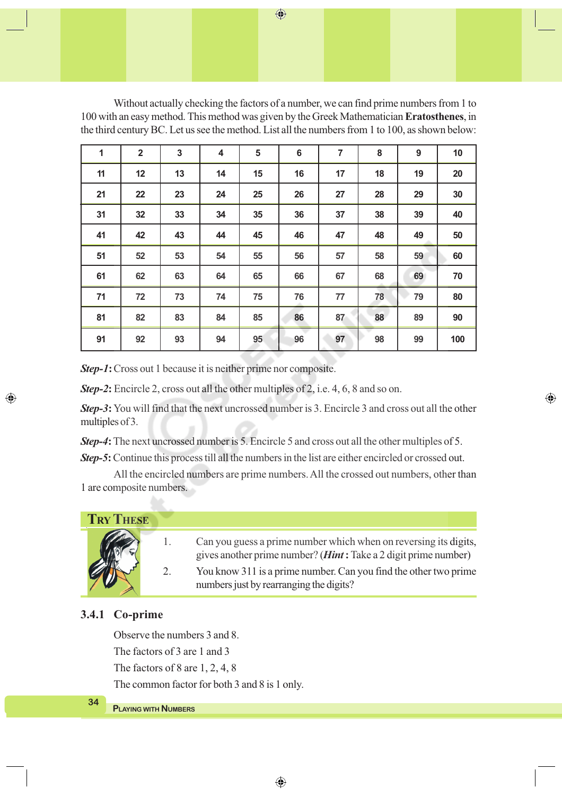Without actually checking the factors of a number, we can find prime numbers from 1 to 100 with an easy method. This method was given by the Greek Mathematician **Eratosthenes**, in the third century BC. Let us see the method. List all the numbers from 1 to 100, as shown below:

| 1  | $\overline{2}$ | $\overline{\mathbf{3}}$ | 4  | 5  | 6  | $\overline{7}$ | 8  | 9  | 10  |
|----|----------------|-------------------------|----|----|----|----------------|----|----|-----|
| 11 | 12             | 13                      | 14 | 15 | 16 | 17             | 18 | 19 | 20  |
| 21 | 22             | 23                      | 24 | 25 | 26 | 27             | 28 | 29 | 30  |
| 31 | 32             | 33                      | 34 | 35 | 36 | 37             | 38 | 39 | 40  |
| 41 | 42             | 43                      | 44 | 45 | 46 | 47             | 48 | 49 | 50  |
| 51 | 52             | 53                      | 54 | 55 | 56 | 57             | 58 | 59 | 60  |
| 61 | 62             | 63                      | 64 | 65 | 66 | 67             | 68 | 69 | 70  |
| 71 | 72             | 73                      | 74 | 75 | 76 | 77             | 78 | 79 | 80  |
| 81 | 82             | 83                      | 84 | 85 | 86 | 87             | 88 | 89 | 90  |
| 91 | 92             | 93                      | 94 | 95 | 96 | 97             | 98 | 99 | 100 |

*Step-1***:**Cross out 1 because it is neither prime nor composite.

*Step-2***:** Encircle 2, cross out all the other multiples of 2, i.e. 4, 6, 8 and so on.

*Step-3***:** You will find that the next uncrossed number is 3. Encircle 3 and cross out all the other multiples of 3.

*Step-4***:** The next uncrossed number is 5. Encircle 5 and cross out all the other multiples of 5. *Step-5***:** Continue this process till all the numbers in the list are either encircled or crossed out.

All the encircled numbers are prime numbers. All the crossed out numbers, other than 1 are composite numbers.

# **TRY THESE** 1. Can you guess a prime number which when on reversing its digits,

gives another prime number? (*Hint***:** Take a 2 digit prime number)

⊕

2. You know 311 is a prime number. Can you find the other two prime numbers just by rearranging the digits?

### **3.4.1 Co-prime**

◈

Observe the numbers 3 and 8. The factors of 3 are 1 and 3 The factors of 8 are 1, 2, 4, 8 The common factor for both 3 and 8 is 1 only.

 $\bigoplus$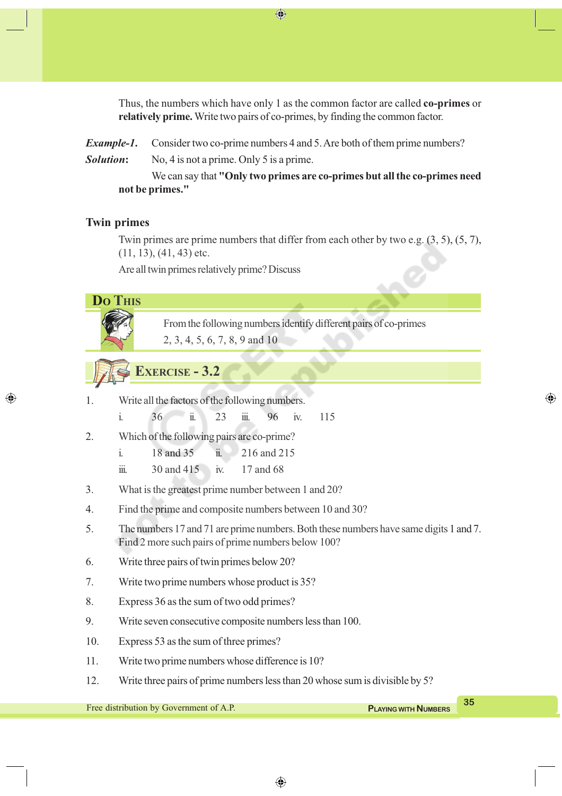Thus, the numbers which have only 1 as the common factor are called **co-primes** or **relatively prime.** Write two pairs of co-primes, by finding the common factor.

*Example-1***.** Consider two co-prime numbers 4 and 5. Are both of them prime numbers? *Solution***:** No, 4 is not a prime. Only 5 is a prime.

⊕

We can say that **"Only two primes are co-primes but all the co-primes need not be primes."**

### **Twin primes**

◈

Twin primes are prime numbers that differ from each other by two e.g. (3, 5), (5, 7),  $(11, 13)$ ,  $(41, 43)$  etc.

Are all twin primes relatively prime? Discuss



◈

**PLAYING WITH NUMBERS**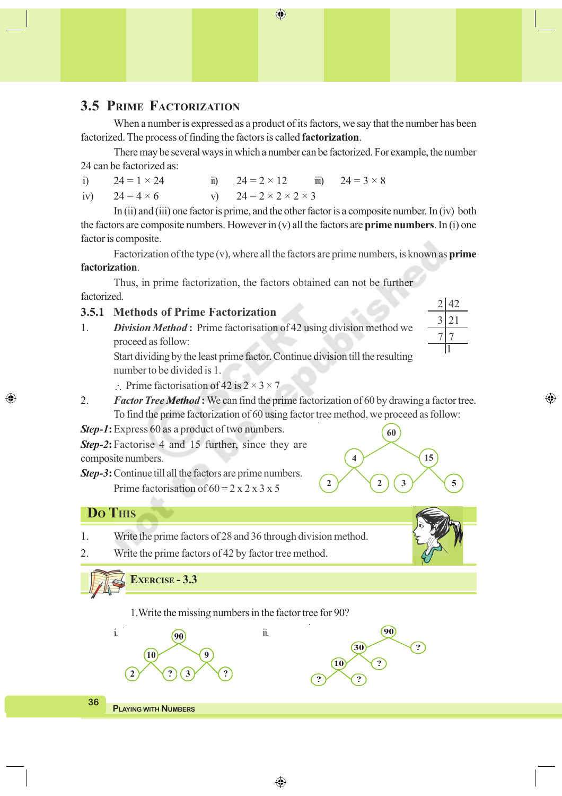#### $\bigoplus$

# **3.5 PRIME FACTORIZATION**

When a number is expressed as a product of its factors, we say that the number has been factorized. The process of finding the factors is called **factorization**.

There may be several ways in which a number can be factorized. For example, the number 24 can be factorized as:

i)  $24 = 1 \times 24$  ii)  $24 = 2 \times 12$  iii)  $24 = 3 \times 8$ iv)  $24 = 4 \times 6$  v)  $24 = 2 \times 2 \times 2 \times 3$ 

In (ii) and (iii) one factor is prime, and the other factor is a composite number. In (iv) both the factors are composite numbers. However in (v) all the factors are **prime numbers**. In (i) one factor is composite.

Factorization of the type (v), where all the factors are prime numbers, is known as **prime factorization**.

Thus, in prime factorization, the factors obtained can not be further factorized.

### **3.5.1 Methods of Prime Factorization**

1. *Division Method* **:** Prime factorisation of 42 using division method we proceed as follow:

Start dividing by the least prime factor. Continue division till the resulting number to be divided is 1.

Prime factorisation of 42 is  $2 \times 3 \times 7$ 

2. *Factor Tree Method* **:** We can find the prime factorization of 60 by drawing a factor tree. To find the prime factorization of 60 using factor tree method, we proceed as follow:

*Step-1***:**Express 60 as a product of two numbers.

*Step-2***:**Factorise 4 and 15 further, since they are composite numbers.

*Step-3***:**Continue till all the factors are prime numbers.

Prime factorisation of  $60 = 2 \times 2 \times 3 \times 5$ 

## **DO THIS**

◈

1. Write the prime factors of 28 and 36 through division method.

2. Write the prime factors of 42 by factor tree method.

# **EXERCISE - 3.3**

1.Write the missing numbers in the factor tree for 90?



|   | 60     |    |
|---|--------|----|
|   |        | 15 |
| າ | 3<br>2 | 5  |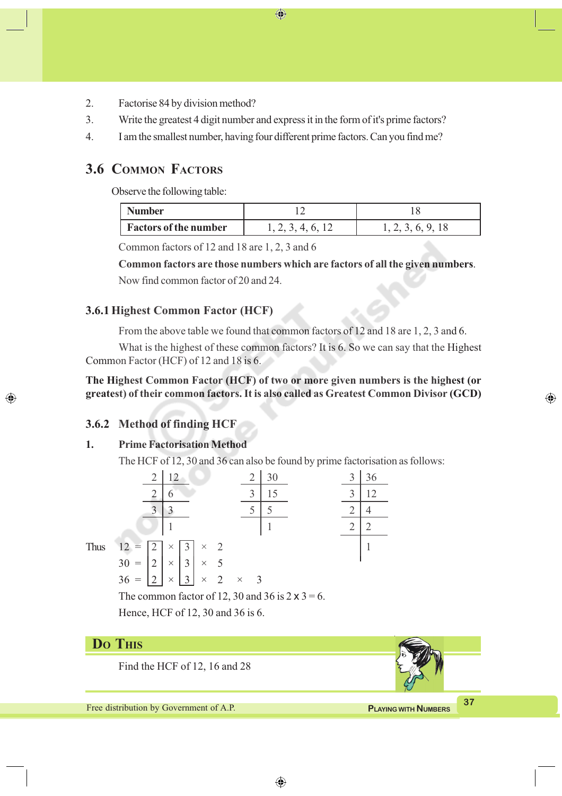- 2. Factorise 84 by division method?
- 3. Write the greatest 4 digit number and express it in the form of it's prime factors?

⊕

4. I am the smallest number, having four different prime factors. Can you find me?

### **3.6 COMMON FACTORS**

Observe the following table:

| <b>Number</b>                |     |  |  |  |
|------------------------------|-----|--|--|--|
| <b>Factors of the number</b> | 4 h |  |  |  |

Common factors of 12 and 18 are 1, 2, 3 and 6

**Common factors are those numbers which are factors of all the given numbers**.

Now find common factor of 20 and 24.

### **3.6.1 Highest Common Factor (HCF)**

From the above table we found that common factors of 12 and 18 are 1, 2, 3 and 6.

What is the highest of these common factors? It is 6. So we can say that the Highest Common Factor (HCF) of 12 and 18 is 6.

**The Highest Common Factor (HCF) of two or more given numbers is the highest (or greatest) of their common factors. It is also called as Greatest Common Divisor (GCD)**

### **3.6.2 Method of finding HCF**

◈

#### **1. Prime Factorisation Method**

The HCF of 12, 30 and 36 can also be found by prime factorisation as follows:



Hence, HCF of 12, 30 and 36 is 6.

# **DO THIS**

Find the HCF of 12, 16 and 28

**Free distribution by Government of A.P. COVER 27 PLAYING WITH NUMBERS** 

⊕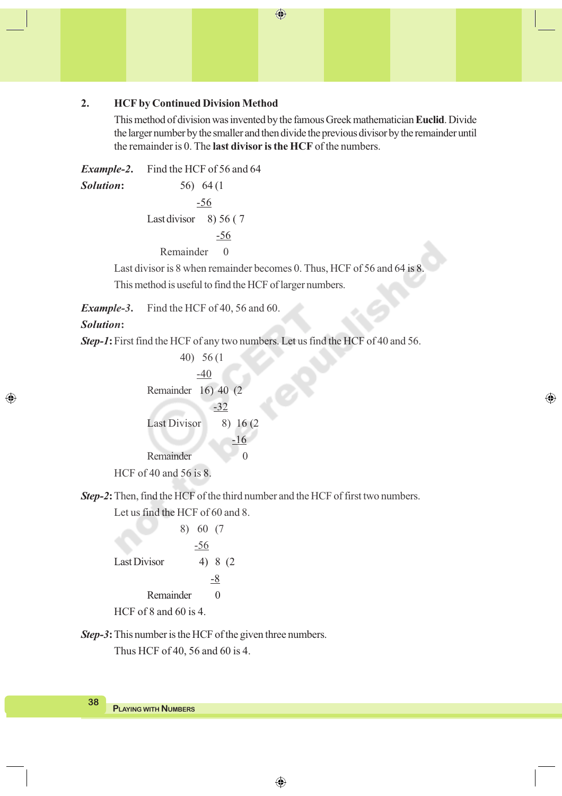### **2. HCF by Continued Division Method**

This method of division was invented by the famous Greek mathematician **Euclid**. Divide the larger number by the smaller and then divide the previous divisor by the remainder until the remainder is 0. The **last divisor is the HCF** of the numbers.

◈

 $\bigoplus$ 

*Example-2***.** Find the HCF of 56 and 64 *Solution***:** 56) 64 (1 -56 Last divisor  $8)$  56 (7) -56 Remainder 0

Last divisor is 8 when remainder becomes 0. Thus, HCF of 56 and 64 is 8. This method is useful to find the HCF of larger numbers.

*Example-3***.** Find the HCF of 40, 56 and 60.

#### *Solution***:**

◈

*Step-1***:**First find the HCF of any two numbers. Let us find the HCF of 40 and 56.

40) 56 (1 -40 Remainder 16) 40 (2 -32 Last Divisor 8) 16 (2) -16 Remainder 0 HCF of 40 and 56 is 8.

*Step-2***:**Then, find the HCF of the third number and the HCF of first two numbers.

Let us find the HCF of 60 and 8.

8) 60 (7 -56 Last Divisor  $4) 8 (2)$  -8 Remainder 0

HCF of 8 and 60 is 4.

*Step-3***:**This number is the HCF of the given three numbers.

Thus HCF of 40, 56 and 60 is 4.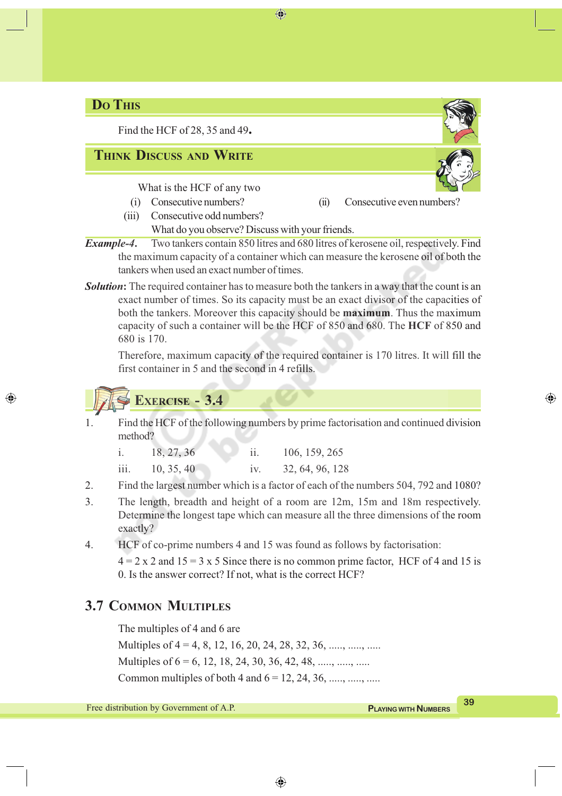# **DO THIS**

Find the HCF of 28, 35 and 49**.**

# **THINK DISCUSS AND WRITE**

What is the HCF of any two

◈

(iii) Consecutive odd numbers?

(i) Consecutive numbers? (ii) Consecutive even numbers?

- What do you observe? Discuss with your friends.
- *Example-4***.** Two tankers contain 850 litres and 680 litres of kerosene oil, respectively. Find the maximum capacity of a container which can measure the kerosene oil of both the tankers when used an exact number of times.

⊕

**Solution:** The required container has to measure both the tankers in a way that the count is an exact number of times. So its capacity must be an exact divisor of the capacities of both the tankers. Moreover this capacity should be **maximum**. Thus the maximum capacity of such a container will be the HCF of 850 and 680. The **HCF** of 850 and 680 is 170.

Therefore, maximum capacity of the required container is 170 litres. It will fill the first container in 5 and the second in 4 refills.

**EXERCISE - 3.4**

◈

1. Find the HCF of the following numbers by prime factorisation and continued division method?

| 18, 27, 36 | 106, 159, 265 |
|------------|---------------|
|            |               |

- iii. 10, 35, 40 iv. 32, 64, 96, 128
- 2. Find the largest number which is a factor of each of the numbers 504, 792 and 1080?
- 3. The length, breadth and height of a room are 12m, 15m and 18m respectively. Determine the longest tape which can measure all the three dimensions of the room exactly?
- 4. HCF of co-prime numbers 4 and 15 was found as follows by factorisation:

 $4 = 2 \times 2$  and  $15 = 3 \times 5$  Since there is no common prime factor, HCF of 4 and 15 is 0. Is the answer correct? If not, what is the correct HCF?

# **3.7 COMMON MULTIPLES**

The multiples of 4 and 6 are

Multiples of  $4 = 4, 8, 12, 16, 20, 24, 28, 32, 36, \dots, \dots, \dots$ 

Multiples of  $6 = 6, 12, 18, 24, 30, 36, 42, 48, \dots, \dots, \dots$ 

Common multiples of both 4 and  $6 = 12, 24, 36, \ldots, \ldots, \ldots$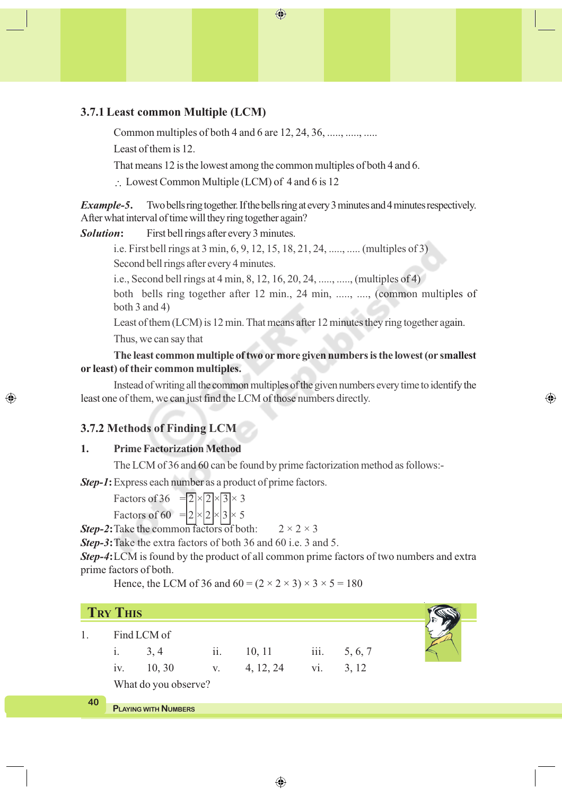### **3.7.1 Least common Multiple (LCM)**

Common multiples of both 4 and 6 are 12, 24, 36, ....., ....., .....

Least of them is 12.

That means 12 is the lowest among the common multiples of both 4 and 6.

 $\therefore$  Lowest Common Multiple (LCM) of 4 and 6 is 12

*Example-5***.** Two bells ring together. If the bells ring at every 3 minutes and 4 minutes respectively. After what interval of time will they ring together again?

 $\bigoplus$ 

*Solution***:** First bell rings after every 3 minutes.

i.e. Firstbell rings at 3 min, 6, 9, 12, 15, 18, 21, 24, ....., ..... (multiples of 3) Second bell rings after every 4 minutes.

i.e., Second bell rings at 4 min, 8, 12, 16, 20, 24, ....., ....., (multiples of 4)

both bells ring together after 12 min., 24 min, ....., ...., (common multiples of both 3 and 4)

Least of them (LCM) is 12 min. That means after 12 minutes they ring together again.

Thus, we can say that

**The least common multiple of two or more given numbers is the lowest (or smallest or least) of their common multiples.**

Instead of writing all the common multiples of the given numbers every time to identify the least one of them, we can just find the LCM of those numbers directly.

⊕

### **3.7.2 Methods of Finding LCM**

◈

### **1. Prime Factorization Method**

The LCM of 36 and 60 can be found by prime factorization method as follows:-

*Step-1***:**Express each number as a product of prime factors.

Factors of 36 =  $\sqrt{2} \times \sqrt{3} \times 3$ 

Factors of 60 =  $2 \times 2 \times 3 \times 5$ 

**Step-2:** Take the common factors of both:  $2 \times 2 \times 3$ 

*Step-3***:**Take the extra factors of both 36 and 60 i.e. 3 and 5.

*Step-4***:**LCM is found by the product of all common prime factors of two numbers and extra prime factors of both.

Hence, the LCM of 36 and  $60 = (2 \times 2 \times 3) \times 3 \times 5 = 180$ 

|    | <b>TRY THIS</b> |                             |     |           |      |         |  |
|----|-----------------|-----------------------------|-----|-----------|------|---------|--|
|    | i.              | Find LCM of<br>3, 4         | ii. | 10, 11    | iii. | 5, 6, 7 |  |
|    | 1V <sub>1</sub> | 10, 30                      | V.  | 4, 12, 24 | vi.  | 3, 12   |  |
|    |                 | What do you observe?        |     |           |      |         |  |
| 40 |                 |                             |     |           |      |         |  |
|    |                 | <b>PLAYING WITH NUMBERS</b> |     |           |      |         |  |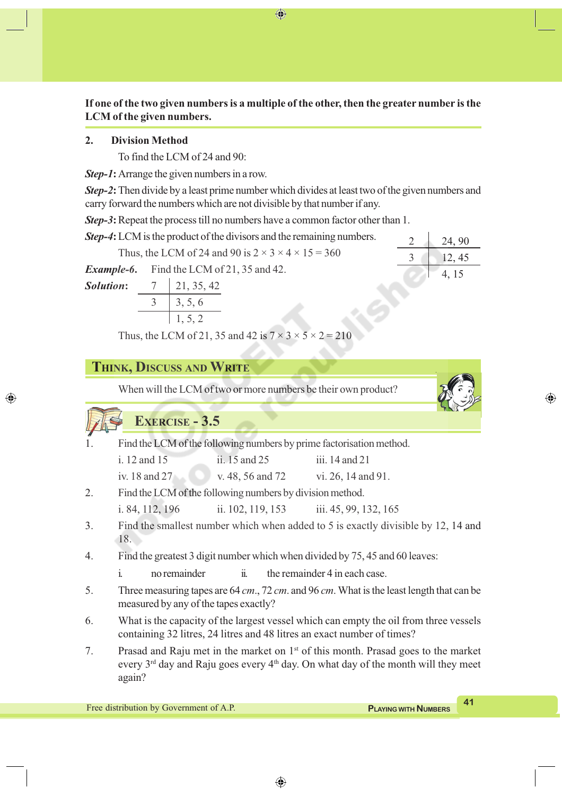**If one of the two given numbers is a multiple of the other, then the greater number is the LCM of the given numbers.**

⊕

### **2. Division Method**

To find the LCM of 24 and 90:

*Step-1***:**Arrange the given numbers in a row.

*Step-2***:**Then divide by a least prime number which divides at least two of the given numbers and carry forward the numbers which are not divisible by that number if any.

*Step-3***:**Repeat the process till no numbers have a common factor other than 1.

| <b>Step-4:</b> LCM is the product of the divisors and the remaining numbers. |  |                                                                     |  | 24, 90 |
|------------------------------------------------------------------------------|--|---------------------------------------------------------------------|--|--------|
|                                                                              |  | Thus, the LCM of 24 and 90 is $2 \times 3 \times 4 \times 15 = 360$ |  | 12, 45 |
|                                                                              |  | <b>Example-6.</b> Find the LCM of 21, 35 and 42.                    |  | 4.15   |
| <b>Solution:</b> $7 \mid 21, 35, 42$                                         |  |                                                                     |  |        |
|                                                                              |  | $3 \mid 3, 5, 6$                                                    |  |        |

1, 5, 2 Thus, the LCM of 21, 35 and 42 is  $7 \times 3 \times 5 \times 2 = 210$ 

## **THINK, DISCUSS AND WRITE**

When will the LCM of two or more numbers be their own product?

# **EXERCISE - 3.5**

◈

| Find the LCM of the following numbers by prime factorisation method. |
|----------------------------------------------------------------------|
|                                                                      |

| iii. 14 and 21<br>ii. $15$ and $25$<br>i. 12 and 15 |
|-----------------------------------------------------|
|-----------------------------------------------------|

iv. 18 and 27 v. 48, 56 and 72 vi. 26, 14 and 91.

2. Find the LCM of the following numbers by division method.

i. 84, 112, 196 ii. 102, 119, 153 iii. 45, 99, 132, 165

- 3. Find the smallest number which when added to 5 is exactly divisible by 12, 14 and 18.
- 4. Find the greatest 3 digit number which when divided by 75, 45 and 60 leaves:
	- i. no remainder ii. the remainder 4 in each case.
- 5. Three measuring tapes are 64 *cm*., 72 *cm*. and 96 *cm*. What is the least length that can be measured by any of the tapes exactly?
- 6. What is the capacity of the largest vessel which can empty the oil from three vessels containing 32 litres, 24 litres and 48 litres an exact number of times?
- 7. Prasad and Raju met in the market on 1st of this month. Prasad goes to the market every  $3<sup>rd</sup>$  day and Raju goes every  $4<sup>th</sup>$  day. On what day of the month will they meet again?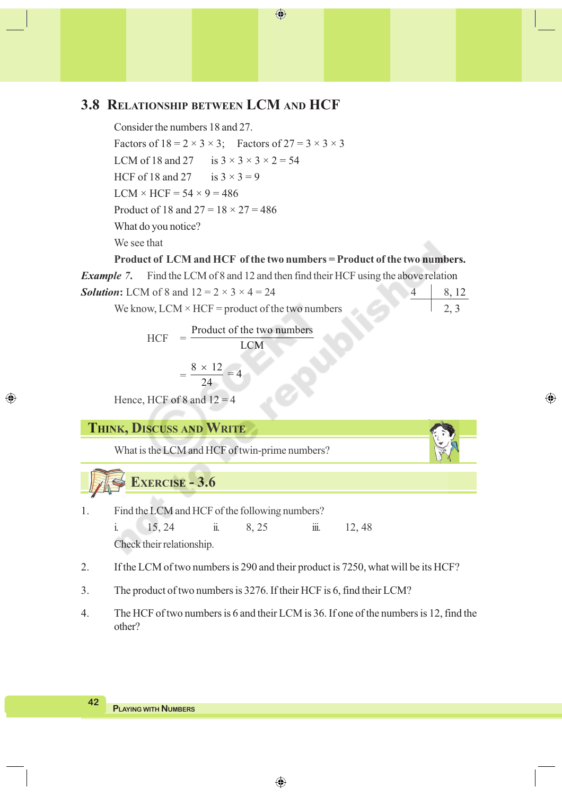# **3.8 RELATIONSHIP BETWEEN LCM AND HCF**

Consider the numbers 18 and 27. Factors of  $18 = 2 \times 3 \times 3$ ; Factors of  $27 = 3 \times 3 \times 3$ LCM of 18 and 27 is  $3 \times 3 \times 3 \times 2 = 54$ HCF of 18 and 27 is  $3 \times 3 = 9$  $LCM \times HCF = 54 \times 9 = 486$ Product of 18 and  $27 = 18 \times 27 = 486$ What do you notice? We see that

### **Product of LCM and HCF of the two numbers = Product of the two numbers.**

⊕

 $\bigoplus$ 

*Example 7***.** Find the LCM of 8 and 12 and then find their HCF using the above relation **Solution:** LCM of 8 and  $12 = 2 \times 3 \times 4 = 24$ 

We know,  $LCM \times HCF =$  product of the two numbers

 $HCF =$ Product of the two numbers LCM

$$
=\frac{8\times12}{24}=4
$$

Hence, HCF of 8 and  $12 = 4$ 

**THINK, DISCUSS AND WRITE**

What is the LCM and HCF of twin-prime numbers?

**EXERCISE - 3.6**

1. Find the LCM and HCF of the following numbers? i. 15, 24 ii. 8, 25 iii. 12, 48

Check their relationship.

- 2. If the LCM of two numbers is 290 and their product is 7250, what will be its HCF?
- 3. The product of two numbers is 3276. If their HCF is 6, find their LCM?
- 4. The HCF of two numbers is 6 and their LCM is 36. If one of the numbers is 12, find the other?

**42**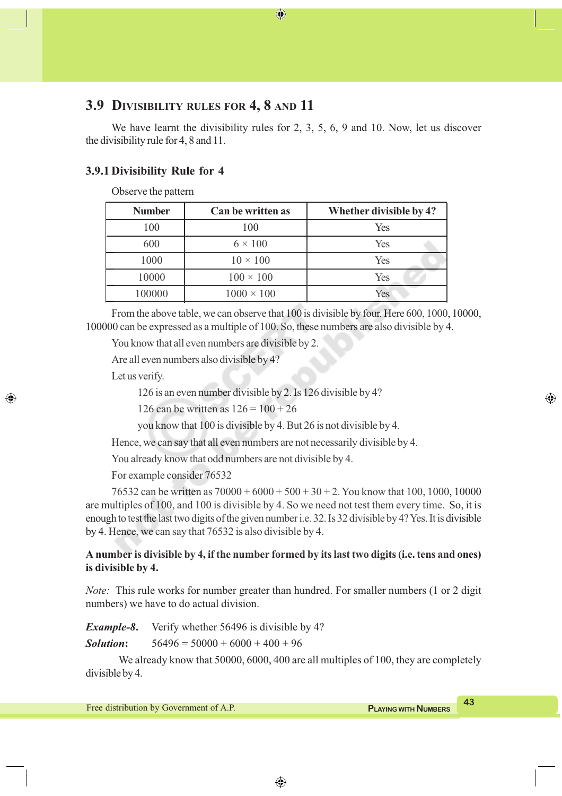# **3.9 DIVISIBILITY RULES FOR 4, 8 AND 11**

We have learnt the divisibility rules for 2, 3, 5, 6, 9 and 10. Now, let us discover the divisibility rule for 4, 8 and 11.

⊕

### **3.9.1 Divisibility Rule for 4**

Observe the pattern

| <b>Number</b><br>Can be written as |                   | Whether divisible by 4? |  |
|------------------------------------|-------------------|-------------------------|--|
| 100                                | 100               | Yes                     |  |
| 600                                | $6 \times 100$    | Yes                     |  |
| 1000                               | $10 \times 100$   | Yes                     |  |
| 10000                              | $100 \times 100$  | Yes                     |  |
| 100000                             | $1000 \times 100$ | Yes                     |  |

From the above table, we can observe that 100 is divisible by four. Here 600, 1000, 10000, 100000 can be expressed as a multiple of 100. So, these numbers are also divisible by 4.

You know that all even numbers are divisible by 2.

Are all even numbers also divisible by 4?

Let us verify.

◈

126 is an even number divisible by 2. Is 126 divisible by 4?

126 can be written as  $126 = 100 + 26$ 

you know that 100 is divisible by 4. But 26 is not divisible by 4.

Hence, we can say that all even numbers are not necessarily divisible by 4.

You already know that odd numbers are not divisible by 4.

For example consider 76532

76532 can be written as  $70000 + 6000 + 500 + 30 + 2$ . You know that 100, 1000, 10000 are multiples of 100, and 100 is divisible by 4. So we need not test them every time. So, it is enough to test the last two digits of the given number i.e. 32. Is 32 divisible by 4? Yes. It is divisible by 4. Hence, we can say that 76532 is also divisible by 4.

### **A number is divisible by 4, if the number formed by its last two digits (i.e. tens and ones) is divisible by 4.**

*Note:* This rule works for number greater than hundred. For smaller numbers (1 or 2 digit numbers) we have to do actual division.

*Example-8***.** Verify whether 56496 is divisible by 4? **Solution:**  $56496 = 50000 + 6000 + 400 + 96$ 

We already know that 50000, 6000, 400 are all multiples of 100, they are completely divisible by 4.

◈

**Free distribution by Government of A.P. A3 PLAYING WITH NUMBERS**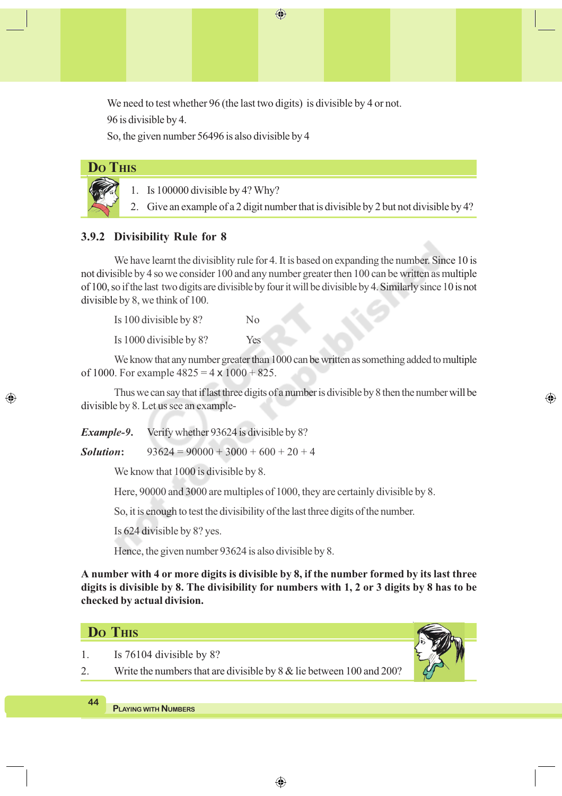We need to test whether 96 (the last two digits) is divisible by 4 or not.

 $\bigoplus$ 

96 is divisible by 4.

So, the given number 56496 is also divisible by 4

|  |  | <b>Do THIS</b> |
|--|--|----------------|
|  |  |                |

◈

- 1. Is 100000 divisible by 4? Why?
- 2. Give an example of a 2 digit number that is divisible by 2 but not divisible by 4?

### **3.9.2 Divisibility Rule for 8**

We have learnt the divisiblity rule for 4. It is based on expanding the number. Since 10 is not divisible by 4 so we consider 100 and any number greater then 100 can be written as multiple of 100, so if the last two digits are divisible by four it will be divisible by 4. Similarly since 10 is not divisible by 8, we think of 100.

Is 100 divisible by 8? No Is 1000 divisible by 8? Yes

We know that any number greater than 1000 can be written as something added to multiple of 1000. For example  $4825 = 4 \times 1000 + 825$ .

Thus we can say that if last three digits of a number is divisible by 8 then the number will be divisible by 8. Let us see an example-

*Example-9***.** Verify whether 93624 is divisible by 8?

**Solution:**  $93624 = 90000 + 3000 + 600 + 20 + 4$ 

We know that 1000 is divisible by 8.

Here, 90000 and 3000 are multiples of 1000, they are certainly divisible by 8.

So, it is enough to test the divisibility of the last three digits of the number.

Is 624 divisible by 8? yes.

Hence, the given number 93624 is also divisible by 8.

**A number with 4 or more digits is divisible by 8, if the number formed by its last three digits is divisible by 8. The divisibility for numbers with 1, 2 or 3 digits by 8 has to be checked by actual division.**

### **DO THIS**

- 1. Is 76104 divisible by 8?
- 2. Write the numbers that are divisible by 8 & lie between 100 and 200?



⊕

**44**

**PLAYING WITH NUMBERS**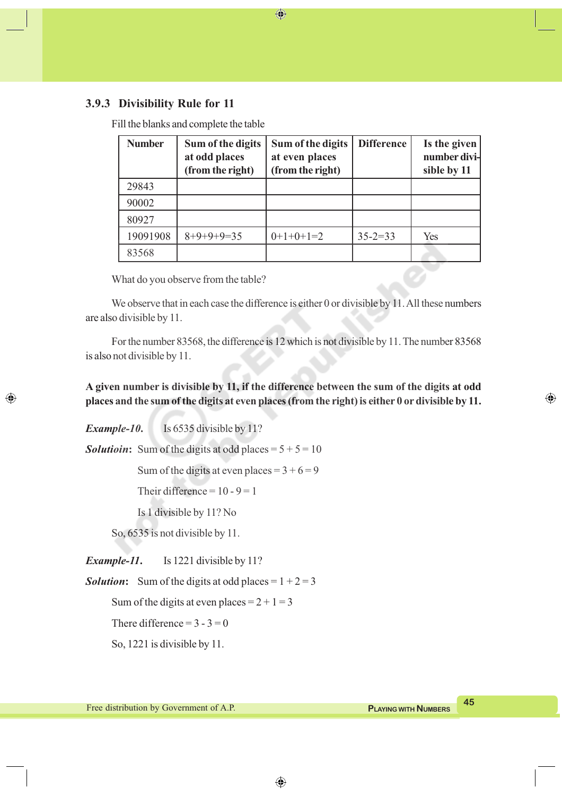### **3.9.3 Divisibility Rule for 11**

Fill the blanks and complete the table

| <b>Number</b> | Sum of the digits<br>at odd places<br>(from the right) | Sum of the digits<br>at even places<br>(from the right) | <b>Difference</b> | Is the given<br>number divi-<br>sible by 11 |
|---------------|--------------------------------------------------------|---------------------------------------------------------|-------------------|---------------------------------------------|
| 29843         |                                                        |                                                         |                   |                                             |
| 90002         |                                                        |                                                         |                   |                                             |
| 80927         |                                                        |                                                         |                   |                                             |
| 19091908      | $8+9+9+9=35$                                           | $0+1+0+1=2$                                             | $35 - 2 = 33$     | Yes                                         |
| 83568         |                                                        |                                                         |                   |                                             |

 $\bigoplus$ 

What do you observe from the table?

We observe that in each case the difference is either 0 or divisible by 11. All these numbers are also divisible by 11.

For the number 83568, the difference is 12 which is not divisible by 11. The number 83568 is also not divisible by 11.

**A given number is divisible by 11, if the difference between the sum of the digits at odd places and the sum of the digits at even places (from the right) is either 0 or divisible by 11.**

◈

*Example-10***.** Is 6535 divisible by 11?

◈

**Solutioin:** Sum of the digits at odd places  $= 5 + 5 = 10$ 

Sum of the digits at even places =  $3 + 6 = 9$ 

Their difference =  $10 - 9 = 1$ 

Is 1 divisible by 11? No

So, 6535 is not divisible by 11.

*Example-11***.** Is 1221 divisible by 11?

**Solution:** Sum of the digits at odd places =  $1 + 2 = 3$ 

Sum of the digits at even places  $= 2 + 1 = 3$ 

There difference  $= 3 - 3 = 0$ 

So, 1221 is divisible by 11.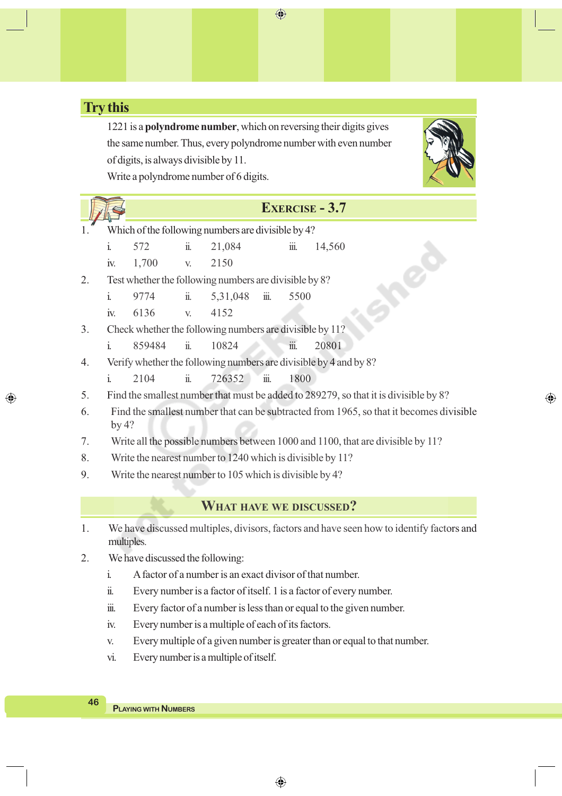# **Try this**

◈

1221 is a **polyndrome number**, which on reversing their digits gives the same number. Thus, every polyndrome number with even number of digits, is always divisible by 11.

Write a polyndrome number of 6 digits.

## **EXERCISE - 3.7**

- Which of the following numbers are divisible by 4?
	- i. 572 ii. 21,084 iii. 14,560
	- iv. 1,700 v. 2150
- 2. Test whether the following numbers are divisible by 8?
	- i. 9774 ii. 5,31,048 iii. 5500
	- iv. 6136 v. 4152
- 3. Check whether the following numbers are divisible by 11?
	- i. 859484 ii. 10824 iii. 20801
- 4. Verify whether the following numbers are divisible by 4 and by 8?
	- i. 2104 ii. 726352 iii. 1800
- 5. Find the smallest number that must be added to 289279, so that it is divisible by 8?
- 6. Find the smallest number that can be subtracted from 1965, so that it becomes divisible by 4?
- 7. Write all the possible numbers between 1000 and 1100, that are divisible by 11?
- 8. Write the nearest number to 1240 which is divisible by 11?
- 9. Write the nearest number to 105 which is divisible by 4?

### **WHAT HAVE WE DISCUSSED?**

- 1. We have discussed multiples, divisors, factors and have seen how to identify factors and multiples.
- 2. We have discussed the following:
	- i. A factor of a number is an exact divisor of that number.
	- ii. Every number is a factor of itself. 1 is a factor of every number.
	- iii. Every factor of a number is less than or equal to the given number.
	- iv. Every number is a multiple of each of its factors.
	- v. Every multiple of a given number is greater than or equal to that number.

◈

vi. Every number is a multiple of itself.